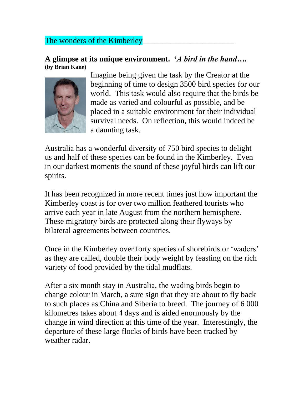## The wonders of the Kimberley

## **A glimpse at its unique environment. '***A bird in the hand….* **(by Brian Kane)**



Imagine being given the task by the Creator at the beginning of time to design 3500 bird species for our world. This task would also require that the birds be made as varied and colourful as possible, and be placed in a suitable environment for their individual survival needs. On reflection, this would indeed be a daunting task.

Australia has a wonderful diversity of 750 bird species to delight us and half of these species can be found in the Kimberley. Even in our darkest moments the sound of these joyful birds can lift our spirits.

It has been recognized in more recent times just how important the Kimberley coast is for over two million feathered tourists who arrive each year in late August from the northern hemisphere. These migratory birds are protected along their flyways by bilateral agreements between countries.

Once in the Kimberley over forty species of shorebirds or 'waders' as they are called, double their body weight by feasting on the rich variety of food provided by the tidal mudflats.

After a six month stay in Australia, the wading birds begin to change colour in March, a sure sign that they are about to fly back to such places as China and Siberia to breed. The journey of 6 000 kilometres takes about 4 days and is aided enormously by the change in wind direction at this time of the year. Interestingly, the departure of these large flocks of birds have been tracked by weather radar.